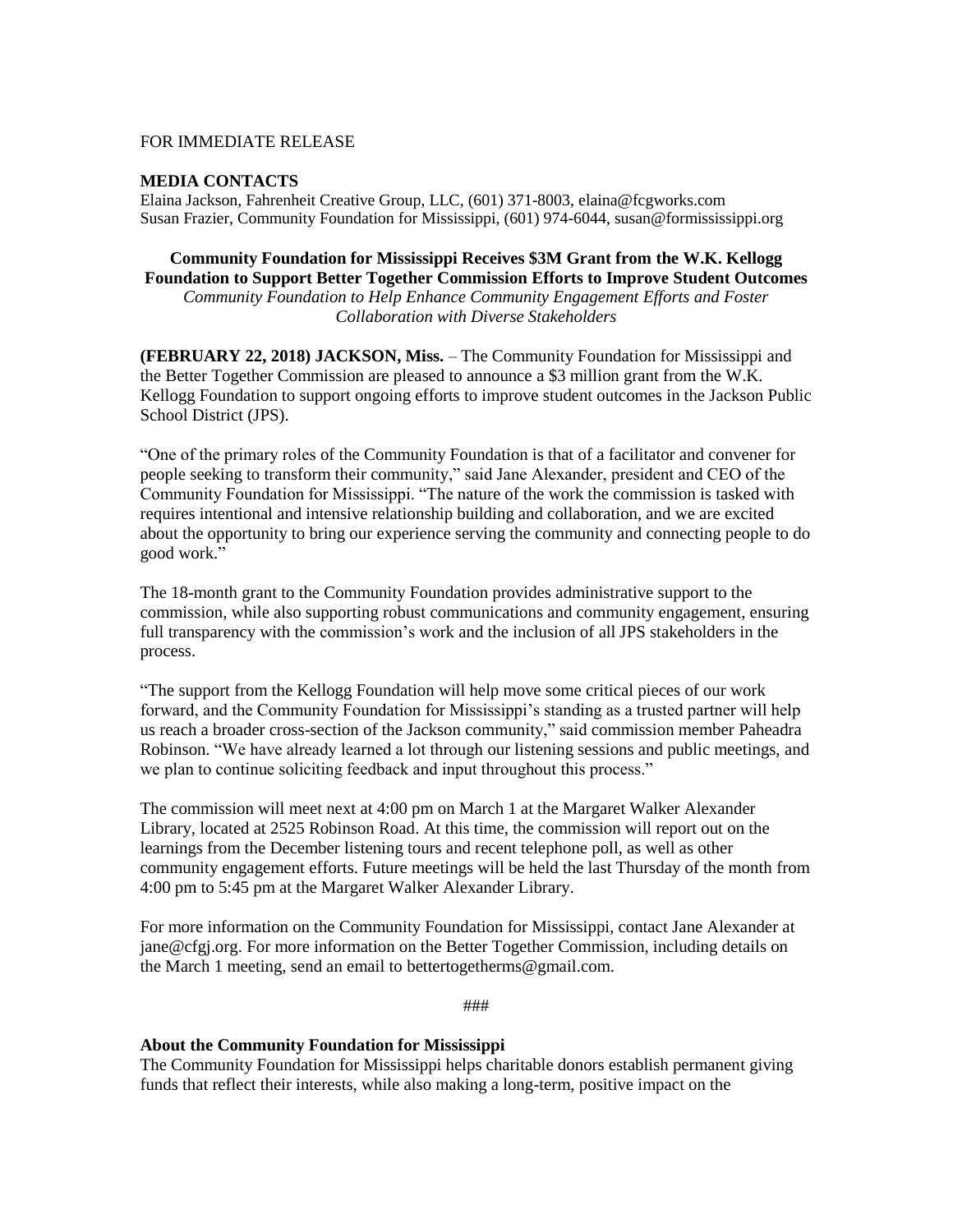### FOR IMMEDIATE RELEASE

### **MEDIA CONTACTS**

Elaina Jackson, Fahrenheit Creative Group, LLC, (601) 371-8003, elaina@fcgworks.com Susan Frazier, Community Foundation for Mississippi, (601) 974-6044, susan@formississippi.org

# **Community Foundation for Mississippi Receives \$3M Grant from the W.K. Kellogg**

**Foundation to Support Better Together Commission Efforts to Improve Student Outcomes** *Community Foundation to Help Enhance Community Engagement Efforts and Foster Collaboration with Diverse Stakeholders*

**(FEBRUARY 22, 2018) JACKSON, Miss.** – The Community Foundation for Mississippi and the Better Together Commission are pleased to announce a \$3 million grant from the W.K. Kellogg Foundation to support ongoing efforts to improve student outcomes in the Jackson Public School District (JPS).

"One of the primary roles of the Community Foundation is that of a facilitator and convener for people seeking to transform their community," said Jane Alexander, president and CEO of the Community Foundation for Mississippi. "The nature of the work the commission is tasked with requires intentional and intensive relationship building and collaboration, and we are excited about the opportunity to bring our experience serving the community and connecting people to do good work."

The 18-month grant to the Community Foundation provides administrative support to the commission, while also supporting robust communications and community engagement, ensuring full transparency with the commission's work and the inclusion of all JPS stakeholders in the process.

"The support from the Kellogg Foundation will help move some critical pieces of our work forward, and the Community Foundation for Mississippi's standing as a trusted partner will help us reach a broader cross-section of the Jackson community," said commission member Paheadra Robinson. "We have already learned a lot through our listening sessions and public meetings, and we plan to continue soliciting feedback and input throughout this process."

The commission will meet next at 4:00 pm on March 1 at the Margaret Walker Alexander Library, located at 2525 Robinson Road. At this time, the commission will report out on the learnings from the December listening tours and recent telephone poll, as well as other community engagement efforts. Future meetings will be held the last Thursday of the month from 4:00 pm to 5:45 pm at the Margaret Walker Alexander Library.

For more information on the Community Foundation for Mississippi, contact Jane Alexander at jane@cfgj.org. For more information on the Better Together Commission, including details on the March 1 meeting, send an email to bettertogetherms@gmail.com.

###

#### **About the Community Foundation for Mississippi**

The Community Foundation for Mississippi helps charitable donors establish permanent giving funds that reflect their interests, while also making a long-term, positive impact on the